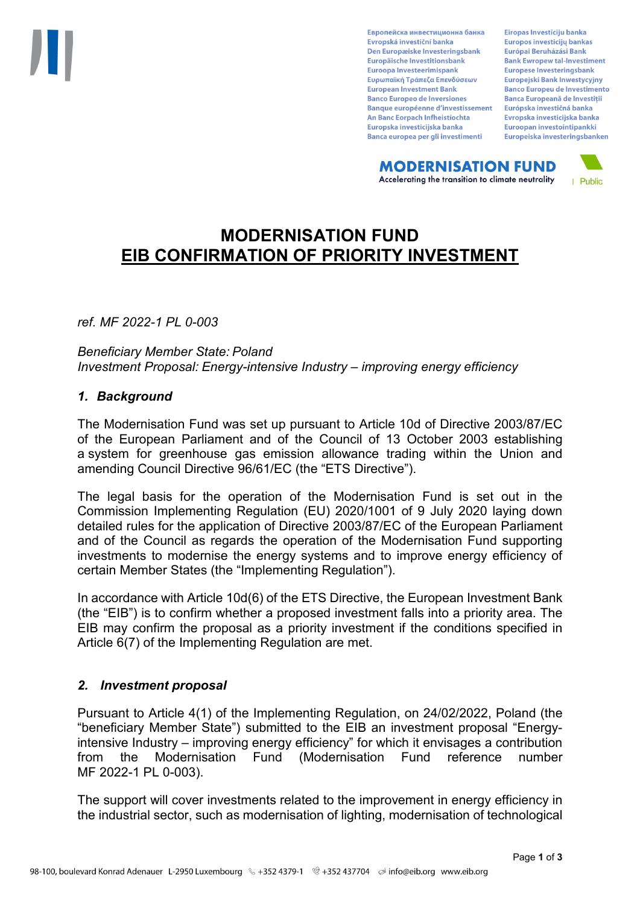Европейска инвестиционна банка Evropská investiční banka Den Europæiske Investeringsbank Europäische Investitionsbank Euroopa Investeerimispank Ευρωπαϊκή Τράπεζα Επενδύσεων **European Investment Bank Banco Europeo de Inversiones Banque européenne d'investissement** An Banc Eorpach Infheistíochta Europska investicijska banka Banca europea per gli investimenti

Eiropas Investīciju banka Europos investicijų bankas Európai Beruházási Bank **Bank Ewropew tal-Investiment** Europese Investeringsbank **Europeiski Bank Inwestycviny Banco Europeu de Investimento Banca Europeană de Investiții** Európska investičná banka Evropska investicijska banka Euroopan investointipankki Europeiska investeringsbanken

**MODERNISATION FUND** Accelerating the transition to climate neutrality



# **MODERNISATION FUND EIB CONFIRMATION OF PRIORITY INVESTMENT**

*ref. MF 2022-1 PL 0-003*

*Beneficiary Member State: Poland Investment Proposal: Energy-intensive Industry – improving energy efficiency*

## *1. Background*

The Modernisation Fund was set up pursuant to Article 10d of Directive 2003/87/EC of the European Parliament and of the Council of 13 October 2003 establishing a system for greenhouse gas emission allowance trading within the Union and amending Council Directive 96/61/EC (the "ETS Directive").

The legal basis for the operation of the Modernisation Fund is set out in the Commission Implementing Regulation (EU) 2020/1001 of 9 July 2020 laying down detailed rules for the application of Directive 2003/87/EC of the European Parliament and of the Council as regards the operation of the Modernisation Fund supporting investments to modernise the energy systems and to improve energy efficiency of certain Member States (the "Implementing Regulation").

In accordance with Article 10d(6) of the ETS Directive, the European Investment Bank (the "EIB") is to confirm whether a proposed investment falls into a priority area. The EIB may confirm the proposal as a priority investment if the conditions specified in Article 6(7) of the Implementing Regulation are met.

## *2. Investment proposal*

Pursuant to Article 4(1) of the Implementing Regulation, on 24/02/2022, Poland (the "beneficiary Member State") submitted to the EIB an investment proposal "Energyintensive Industry – improving energy efficiency" for which it envisages a contribution from the Modernisation Fund (Modernisation Fund reference number MF 2022-1 PL 0-003).

The support will cover investments related to the improvement in energy efficiency in the industrial sector, such as modernisation of lighting, modernisation of technological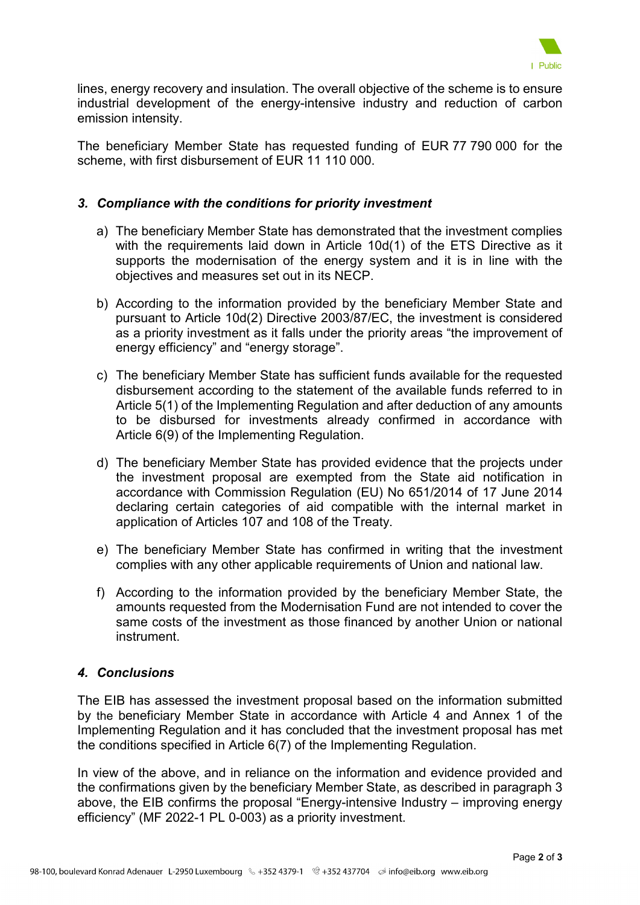

lines, energy recovery and insulation. The overall objective of the scheme is to ensure industrial development of the energy-intensive industry and reduction of carbon emission intensity.

The beneficiary Member State has requested funding of EUR 77 790 000 for the scheme, with first disbursement of EUR 11 110 000.

## *3. Compliance with the conditions for priority investment*

- a) The beneficiary Member State has demonstrated that the investment complies with the requirements laid down in Article 10d(1) of the ETS Directive as it supports the modernisation of the energy system and it is in line with the objectives and measures set out in its NECP.
- b) According to the information provided by the beneficiary Member State and pursuant to Article 10d(2) Directive 2003/87/EC, the investment is considered as a priority investment as it falls under the priority areas "the improvement of energy efficiency" and "energy storage".
- c) The beneficiary Member State has sufficient funds available for the requested disbursement according to the statement of the available funds referred to in Article 5(1) of the Implementing Regulation and after deduction of any amounts to be disbursed for investments already confirmed in accordance with Article 6(9) of the Implementing Regulation.
- d) The beneficiary Member State has provided evidence that the projects under the investment proposal are exempted from the State aid notification in accordance with Commission Regulation (EU) No 651/2014 of 17 June 2014 declaring certain categories of aid compatible with the internal market in application of Articles 107 and 108 of the Treaty.
- e) The beneficiary Member State has confirmed in writing that the investment complies with any other applicable requirements of Union and national law.
- f) According to the information provided by the beneficiary Member State, the amounts requested from the Modernisation Fund are not intended to cover the same costs of the investment as those financed by another Union or national instrument.

## *4. Conclusions*

The EIB has assessed the investment proposal based on the information submitted by the beneficiary Member State in accordance with Article 4 and Annex 1 of the Implementing Regulation and it has concluded that the investment proposal has met the conditions specified in Article 6(7) of the Implementing Regulation.

In view of the above, and in reliance on the information and evidence provided and the confirmations given by the beneficiary Member State, as described in paragraph 3 above, the EIB confirms the proposal "Energy-intensive Industry – improving energy efficiency" (MF 2022-1 PL 0-003) as a priority investment.